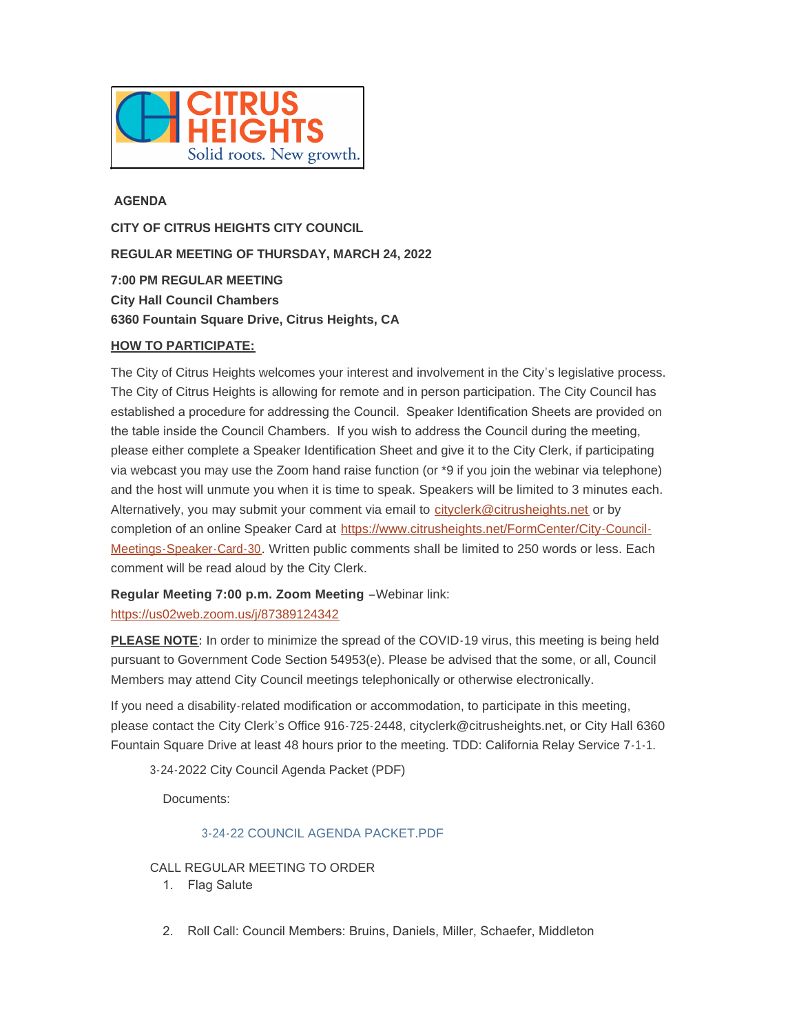

# **AGENDA**

**CITY OF CITRUS HEIGHTS CITY COUNCIL REGULAR MEETING OF THURSDAY, MARCH 24, 2022 7:00 PM REGULAR MEETING City Hall Council Chambers 6360 Fountain Square Drive, Citrus Heights, CA**

### **HOW TO PARTICIPATE:**

The City of Citrus Heights welcomes your interest and involvement in the City's legislative process. The City of Citrus Heights is allowing for remote and in person participation. The City Council has established a procedure for addressing the Council. Speaker Identification Sheets are provided on the table inside the Council Chambers. If you wish to address the Council during the meeting, please either complete a Speaker Identification Sheet and give it to the City Clerk, if participating via webcast you may use the Zoom hand raise function (or \*9 if you join the webinar via telephone) and the host will unmute you when it is time to speak. Speakers will be limited to 3 minutes each. Alternatively, you may submit your comment via email to [cityclerk@citrusheights.net](mailto:cityclerk@citrusheights.net) or by completion of an online Speaker Card at https://www.citrusheights.net/FormCenter/City-Council-Meetings-Speaker-Card-30. Written publ[ic comments shall be limited to 250 words or less. Each](https://www.citrusheights.net/FormCenter/City-Council-Meetings-Speaker-Card-30)  comment will be read aloud by the City Clerk.

**[Regular Meeting 7:00 p.m. Zoom Mee](https://us02web.zoom.us/j/87389124342)ting** –Webinar link: https://us02web.zoom.us/j/87389124342

**PLEASE NOTE:** In order to minimize the spread of the COVID-19 virus, this meeting is being held pursuant to Government Code Section 54953(e). Please be advised that the some, or all, Council Members may attend City Council meetings telephonically or otherwise electronically.

If you need a disability-related modification or accommodation, to participate in this meeting, please contact the City Clerk's Office 916-725-2448, cityclerk@citrusheights.net, or City Hall 6360 Fountain Square Drive at least 48 hours prior to the meeting. TDD: California Relay Service 7-1-1.

3-24-2022 City Council Agenda Packet (PDF)

Documents:

# [3-24-22 COUNCIL AGENDA PACKET.PDF](http://www.citrusheights.net/AgendaCenter/ViewFile/Item/6663?fileID=34811)

CALL REGULAR MEETING TO ORDER

- 1. Flag Salute
- 2. Roll Call: Council Members: Bruins, Daniels, Miller, Schaefer, Middleton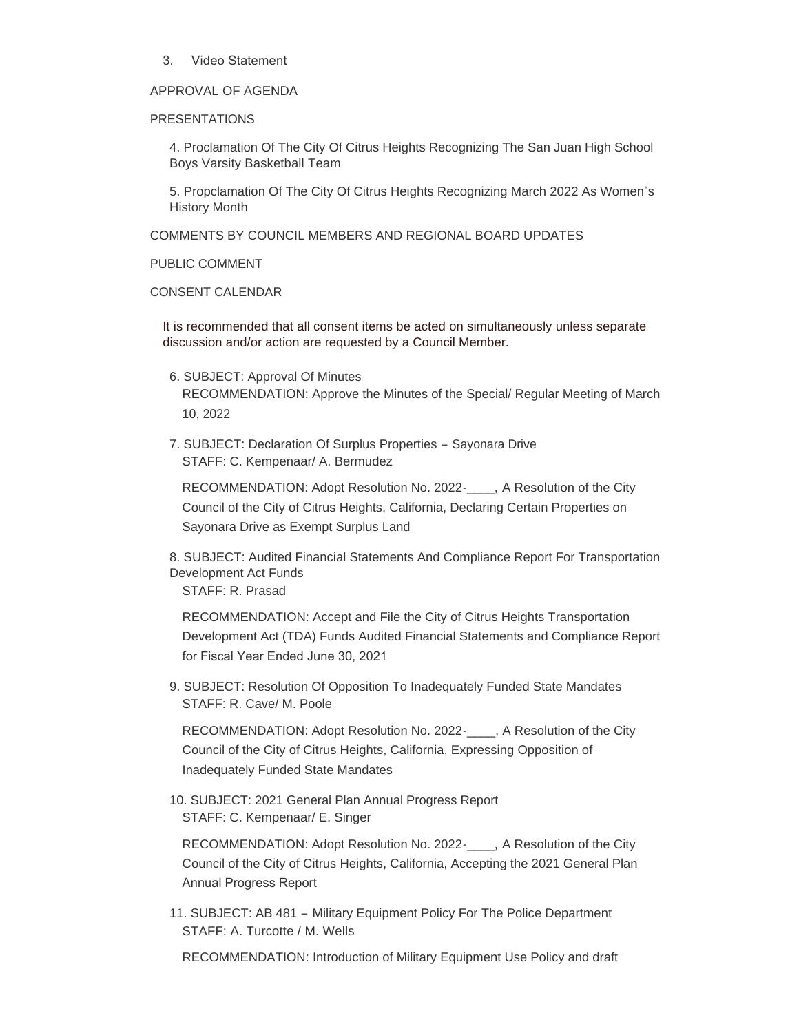3. Video Statement

### APPROVAL OF AGENDA

#### PRESENTATIONS

4. Proclamation Of The City Of Citrus Heights Recognizing The San Juan High School Boys Varsity Basketball Team

5. Propclamation Of The City Of Citrus Heights Recognizing March 2022 As Women's History Month

COMMENTS BY COUNCIL MEMBERS AND REGIONAL BOARD UPDATES

PUBLIC COMMENT

CONSENT CALENDAR

It is recommended that all consent items be acted on simultaneously unless separate discussion and/or action are requested by a Council Member.

6. SUBJECT: Approval Of Minutes

RECOMMENDATION: Approve the Minutes of the Special/ Regular Meeting of March 10, 2022

7. SUBJECT: Declaration Of Surplus Properties – Sayonara Drive STAFF: C. Kempenaar/ A. Bermudez

RECOMMENDATION: Adopt Resolution No. 2022-\_\_\_\_, A Resolution of the City Council of the City of Citrus Heights, California, Declaring Certain Properties on Sayonara Drive as Exempt Surplus Land

8. SUBJECT: Audited Financial Statements And Compliance Report For Transportation Development Act Funds STAFF: R. Prasad

RECOMMENDATION: Accept and File the City of Citrus Heights Transportation Development Act (TDA) Funds Audited Financial Statements and Compliance Report for Fiscal Year Ended June 30, 2021

9. SUBJECT: Resolution Of Opposition To Inadequately Funded State Mandates STAFF: R. Cave/ M. Poole

RECOMMENDATION: Adopt Resolution No. 2022-\_\_\_\_, A Resolution of the City Council of the City of Citrus Heights, California, Expressing Opposition of Inadequately Funded State Mandates

10. SUBJECT: 2021 General Plan Annual Progress Report STAFF: C. Kempenaar/ E. Singer

RECOMMENDATION: Adopt Resolution No. 2022-\_\_\_\_, A Resolution of the City Council of the City of Citrus Heights, California, Accepting the 2021 General Plan Annual Progress Report

11. SUBJECT: AB 481 – Military Equipment Policy For The Police Department STAFF: A. Turcotte / M. Wells

RECOMMENDATION: Introduction of Military Equipment Use Policy and draft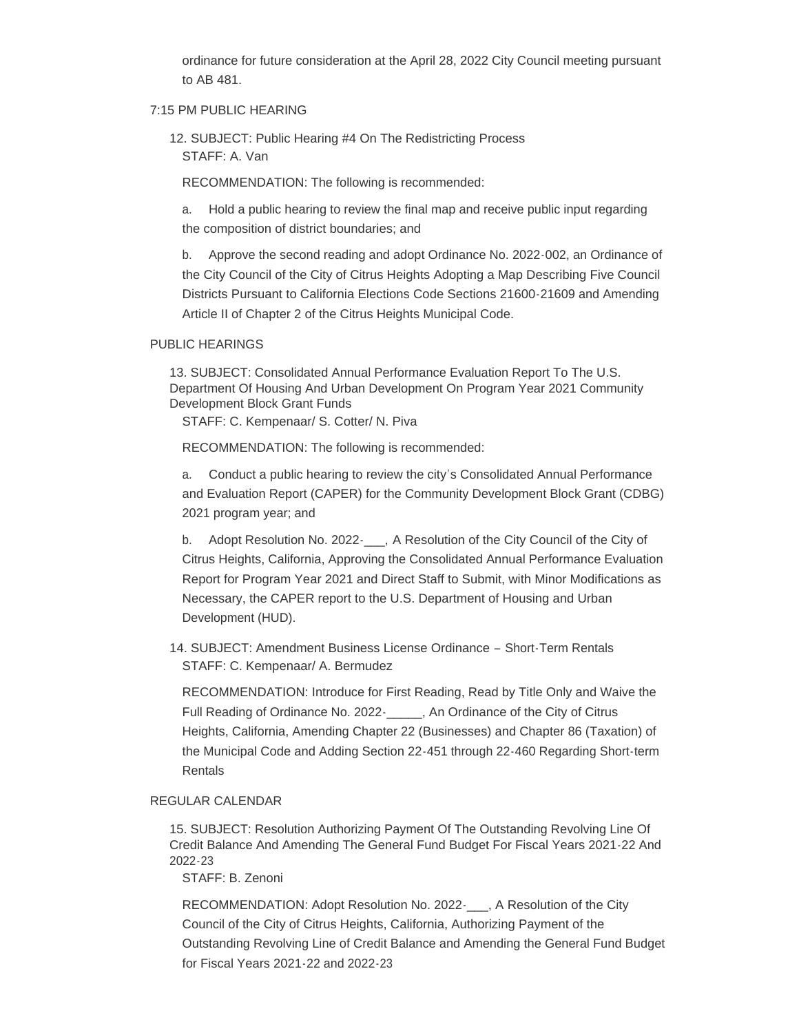ordinance for future consideration at the April 28, 2022 City Council meeting pursuant to AB 481.

#### 7:15 PM PUBLIC HEARING

12. SUBJECT: Public Hearing #4 On The Redistricting Process STAFF: A. Van

RECOMMENDATION: The following is recommended:

a. Hold a public hearing to review the final map and receive public input regarding the composition of district boundaries; and

b. Approve the second reading and adopt Ordinance No. 2022-002, an Ordinance of the City Council of the City of Citrus Heights Adopting a Map Describing Five Council Districts Pursuant to California Elections Code Sections 21600-21609 and Amending Article II of Chapter 2 of the Citrus Heights Municipal Code.

#### PUBLIC HEARINGS

13. SUBJECT: Consolidated Annual Performance Evaluation Report To The U.S. Department Of Housing And Urban Development On Program Year 2021 Community Development Block Grant Funds

STAFF: C. Kempenaar/ S. Cotter/ N. Piva

RECOMMENDATION: The following is recommended:

a. Conduct a public hearing to review the city's Consolidated Annual Performance and Evaluation Report (CAPER) for the Community Development Block Grant (CDBG) 2021 program year; and

b. Adopt Resolution No. 2022 A Resolution of the City Council of the City of Citrus Heights, California, Approving the Consolidated Annual Performance Evaluation Report for Program Year 2021 and Direct Staff to Submit, with Minor Modifications as Necessary, the CAPER report to the U.S. Department of Housing and Urban Development (HUD).

14. SUBJECT: Amendment Business License Ordinance – Short-Term Rentals STAFF: C. Kempenaar/ A. Bermudez

RECOMMENDATION: Introduce for First Reading, Read by Title Only and Waive the Full Reading of Ordinance No. 2022- An Ordinance of the City of Citrus Heights, California, Amending Chapter 22 (Businesses) and Chapter 86 (Taxation) of the Municipal Code and Adding Section 22-451 through 22-460 Regarding Short-term Rentals

#### REGULAR CALENDAR

15. SUBJECT: Resolution Authorizing Payment Of The Outstanding Revolving Line Of Credit Balance And Amending The General Fund Budget For Fiscal Years 2021-22 And 2022-23

STAFF: B. Zenoni

RECOMMENDATION: Adopt Resolution No. 2022-\_\_\_, A Resolution of the City Council of the City of Citrus Heights, California, Authorizing Payment of the Outstanding Revolving Line of Credit Balance and Amending the General Fund Budget for Fiscal Years 2021-22 and 2022-23